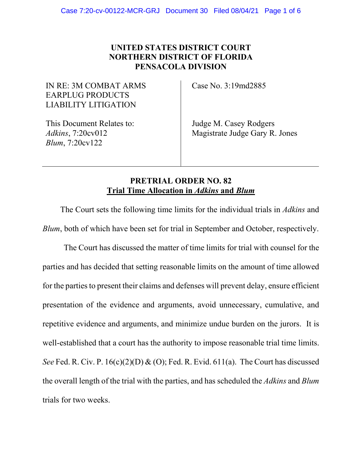## **UNITED STATES DISTRICT COURT NORTHERN DISTRICT OF FLORIDA PENSACOLA DIVISION**

IN RE: 3M COMBAT ARMS EARPLUG PRODUCTS LIABILITY LITIGATION

Case No. 3:19md2885

This Document Relates to: *Adkins*, 7:20cv012 *Blum*, 7:20cv122

Judge M. Casey Rodgers Magistrate Judge Gary R. Jones

## **PRETRIAL ORDER NO. 82 Trial Time Allocation in** *Adkins* **and** *Blum*

The Court sets the following time limits for the individual trials in *Adkins* and *Blum*, both of which have been set for trial in September and October, respectively.

The Court has discussed the matter of time limits for trial with counsel for the parties and has decided that setting reasonable limits on the amount of time allowed for the parties to present their claims and defenses will prevent delay, ensure efficient presentation of the evidence and arguments, avoid unnecessary, cumulative, and repetitive evidence and arguments, and minimize undue burden on the jurors. It is well-established that a court has the authority to impose reasonable trial time limits. *See* Fed. R. Civ. P. 16(c)(2)(D) & (O); Fed. R. Evid. 611(a). The Court has discussed the overall length of the trial with the parties, and has scheduled the *Adkins* and *Blum* trials for two weeks.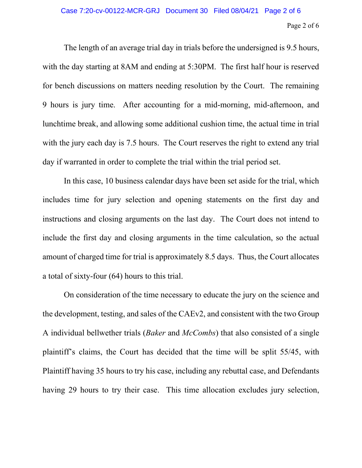The length of an average trial day in trials before the undersigned is 9.5 hours, with the day starting at 8AM and ending at 5:30PM. The first half hour is reserved for bench discussions on matters needing resolution by the Court. The remaining 9 hours is jury time. After accounting for a mid-morning, mid-afternoon, and lunchtime break, and allowing some additional cushion time, the actual time in trial with the jury each day is 7.5 hours. The Court reserves the right to extend any trial day if warranted in order to complete the trial within the trial period set.

In this case, 10 business calendar days have been set aside for the trial, which includes time for jury selection and opening statements on the first day and instructions and closing arguments on the last day. The Court does not intend to include the first day and closing arguments in the time calculation, so the actual amount of charged time for trial is approximately 8.5 days. Thus, the Court allocates a total of sixty-four (64) hours to this trial.

On consideration of the time necessary to educate the jury on the science and the development, testing, and sales of the CAEv2, and consistent with the two Group A individual bellwether trials (*Baker* and *McCombs*) that also consisted of a single plaintiff's claims, the Court has decided that the time will be split 55/45, with Plaintiff having 35 hours to try his case, including any rebuttal case, and Defendants having 29 hours to try their case. This time allocation excludes jury selection,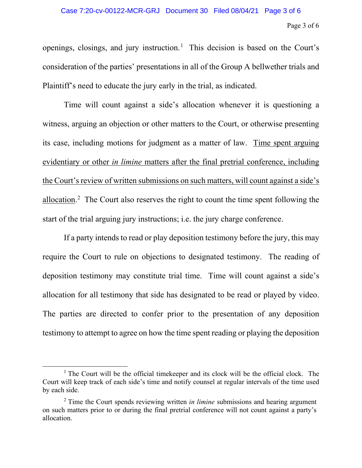openings, closings, and jury instruction. 1 This decision is based on the Court's consideration of the parties' presentations in all of the Group A bellwether trials and Plaintiff's need to educate the jury early in the trial, as indicated.

Time will count against a side's allocation whenever it is questioning a witness, arguing an objection or other matters to the Court, or otherwise presenting its case, including motions for judgment as a matter of law. Time spent arguing evidentiary or other *in limine* matters after the final pretrial conference, including the Court's review of written submissions on such matters, will count against a side's allocation.<sup>2</sup> The Court also reserves the right to count the time spent following the start of the trial arguing jury instructions; i.e. the jury charge conference.

If a party intends to read or play deposition testimony before the jury, this may require the Court to rule on objections to designated testimony. The reading of deposition testimony may constitute trial time. Time will count against a side's allocation for all testimony that side has designated to be read or played by video. The parties are directed to confer prior to the presentation of any deposition testimony to attempt to agree on how the time spent reading or playing the deposition

<sup>&</sup>lt;sup>1</sup> The Court will be the official timekeeper and its clock will be the official clock. The Court will keep track of each side's time and notify counsel at regular intervals of the time used by each side.

<sup>2</sup> Time the Court spends reviewing written *in limine* submissions and hearing argument on such matters prior to or during the final pretrial conference will not count against a party's allocation.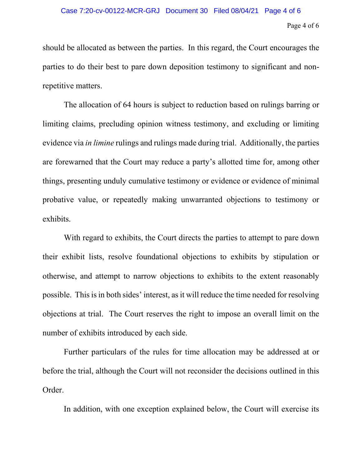should be allocated as between the parties. In this regard, the Court encourages the parties to do their best to pare down deposition testimony to significant and nonrepetitive matters.

The allocation of 64 hours is subject to reduction based on rulings barring or limiting claims, precluding opinion witness testimony, and excluding or limiting evidence via *in limine* rulings and rulings made during trial. Additionally, the parties are forewarned that the Court may reduce a party's allotted time for, among other things, presenting unduly cumulative testimony or evidence or evidence of minimal probative value, or repeatedly making unwarranted objections to testimony or exhibits.

With regard to exhibits, the Court directs the parties to attempt to pare down their exhibit lists, resolve foundational objections to exhibits by stipulation or otherwise, and attempt to narrow objections to exhibits to the extent reasonably possible. This is in both sides' interest, as it will reduce the time needed for resolving objections at trial. The Court reserves the right to impose an overall limit on the number of exhibits introduced by each side.

Further particulars of the rules for time allocation may be addressed at or before the trial, although the Court will not reconsider the decisions outlined in this Order.

In addition, with one exception explained below, the Court will exercise its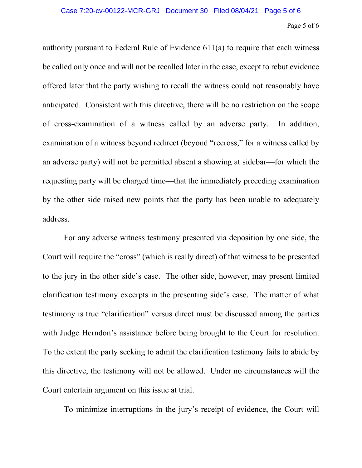## Page 5 of 6

authority pursuant to Federal Rule of Evidence 611(a) to require that each witness be called only once and will not be recalled later in the case, except to rebut evidence offered later that the party wishing to recall the witness could not reasonably have anticipated. Consistent with this directive, there will be no restriction on the scope of cross-examination of a witness called by an adverse party. In addition, examination of a witness beyond redirect (beyond "recross," for a witness called by an adverse party) will not be permitted absent a showing at sidebar—for which the requesting party will be charged time—that the immediately preceding examination by the other side raised new points that the party has been unable to adequately address.

For any adverse witness testimony presented via deposition by one side, the Court will require the "cross" (which is really direct) of that witness to be presented to the jury in the other side's case. The other side, however, may present limited clarification testimony excerpts in the presenting side's case. The matter of what testimony is true "clarification" versus direct must be discussed among the parties with Judge Herndon's assistance before being brought to the Court for resolution. To the extent the party seeking to admit the clarification testimony fails to abide by this directive, the testimony will not be allowed. Under no circumstances will the Court entertain argument on this issue at trial.

To minimize interruptions in the jury's receipt of evidence, the Court will